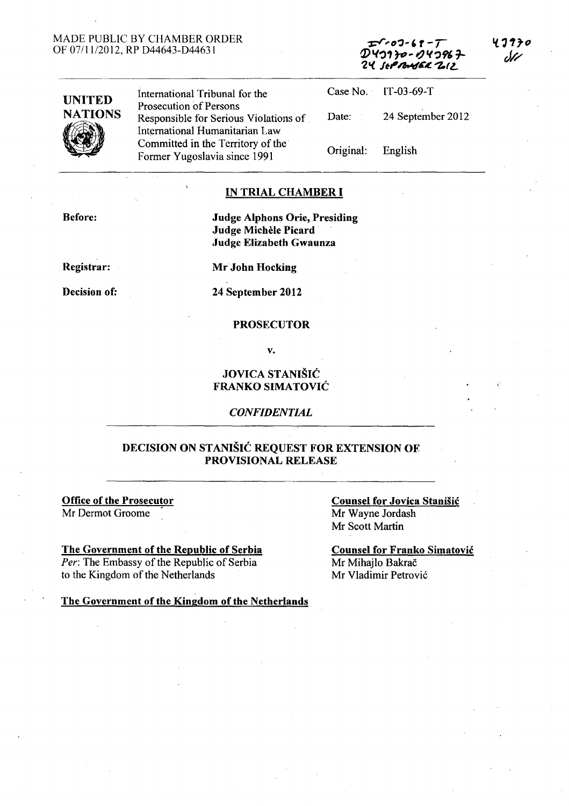### MADE PUBLIC BY CHAMBER ORDER OF 07/11/2012, RP 044643-044631

| $T$ $(07 - 67 - 7)$  |
|----------------------|
| $D$ 40170- $O$ 40967 |
| 24 SEPRASEK ZIZ      |

,.



International Tribunal for the Prosecution of Persons Responsible for Serious Violations of International Humanitarian Law Committed in the Territory of the Former Yugoslavia since 1991 Case No. IT-03-69-T

Date: 24 September 2012 Original: English

## IN TRIAL CHAMBER I

Before: Judge Alphons Orie, Presiding

Registrar:

Decision of:

Judge Elizabeth Gwaunza

Mr John Hocking

Judge Michèle Picard

24 September 2012

### PROSECUTOR

v.

## JOVICA STANIŠIĆ FRANKO SIMATOVIĆ

*CONFIDENTIAL* 

### DECISION ON STANIŠIĆ REQUEST FOR EXTENSION OF PROVISIONAL RELEASE

Office of the Prosecutor Mr Dermot Groome

The Government of the Republic of Serbia

*Per:* The Embassy of the Republic of Serbia to the Kingdom of the Netherlands

Counsel for Jovica Stanišić

Mr Wayne Jordash Mr Scott Martin

Counsel for Franko Simatović Mr Mihajlo Bakrač Mr Vladimir Petrović

The Government of the Kingdom of the Netherlands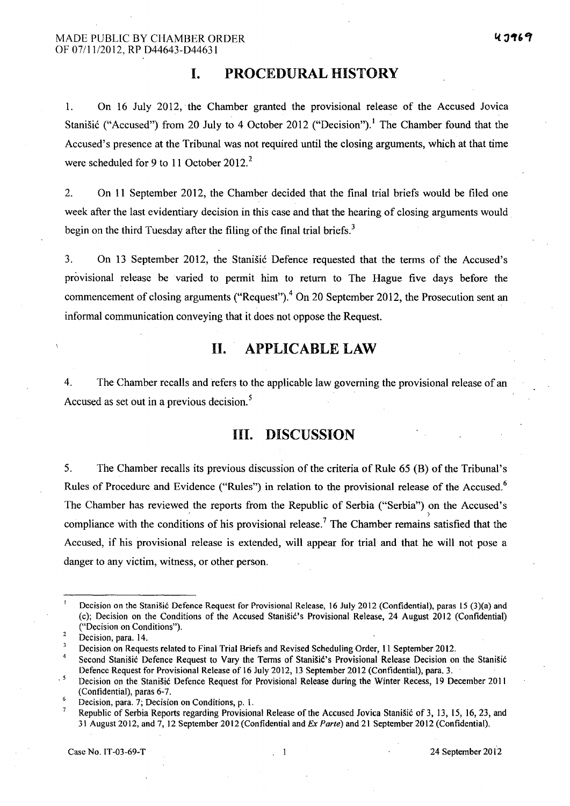# **I. PROCEDURAL HISTORY**

1. On 16 July 2012, the Chamber granted the provisional release of the Accused Jovica Stanišić ("Accused") from 20 July to 4 October 2012 ("Decision").<sup>1</sup> The Chamber found that the Accused's presence at the Tribunal was not required until the closing arguments, which at that time were scheduled for 9 to 11 October 2012.<sup>2</sup>

2. On II September 2012, the Chamber decided that the final trial briefs would be filed one week after the last evidentiary decision in this case and that the hearing of closing arguments would. begin on the third Tuesday after the filing of the final trial briefs. $3$ 

3. On 13 September 2012, the Stanišić Defence requested that the terms of the Accused's provisional release be varied to permit him to return to The Hague five days before the commencement of closing arguments ("Request").<sup>4</sup> On 20 September 2012, the Prosecution sent an informal communication conveying that it does not oppose the Request.

# **II. APPLICABLE LAW**

4. The Chamber recalls and refers to the applicable law governing the provisional release of an Accused as set out in a previous decision.<sup>5</sup>

# **III. DISCUSSION**

5. The Chamber recalls its previous discussion of the criteria of Rule 65 (B) of the Tribunal's Rules of Procedure and Evidence ("Rules") in relation to the provisional release of the Accused.<sup>6</sup> The Chamber has reviewed the reports from the Republic of Serbia ("Serbia") on the Accused's compliance with the conditions of his provisional release.<sup>7</sup> The Chamber remains satisfied that the Accused, if his provisional release is extended, will appear for trial and that he will not pose a danger to any victim, witness, or other person.

Decision on the Stanišić Defence Request for Provisional Release, 16 July 2012 (Confidential), paras 15 (3)(a) and (c); Decision on the Conditions of the Accused Stanišić's Provisional Release, 24 August 2012 (Confidential) ("Decision on Conditions").

Decision, para. 14.

Decision on Requests related to Final Trial Briefs and Revised Scheduling Order, 11 September 2012.

<sup>4</sup>  Second Stanišić Defence Request to Vary the Terms of Stanišić's Provisional Release Decision on the Stanišić Defence Request for Provisional Release of 16 July 2012, 13 September 2012 (Confidential), para. 3.

 $5<sub>5</sub>$ Decision on the Stanišić Defence Request for Provisional Release during the Winter Recess, 19 December 2011 (Confidential), paras 6-7.

 $\overline{6}$ Decision, para. 7; Decision on Conditions, p. 1.

 $\overline{7}$ Republic of Serbia Reports regarding Provisional Release of the Accused Jovica Stanišić of 3, 13, 15, 16,23, and 31 August 2012, and 7, 12 September 2012 (Confidential and *Ex Parte)* and 21 September 2012 (Confidential).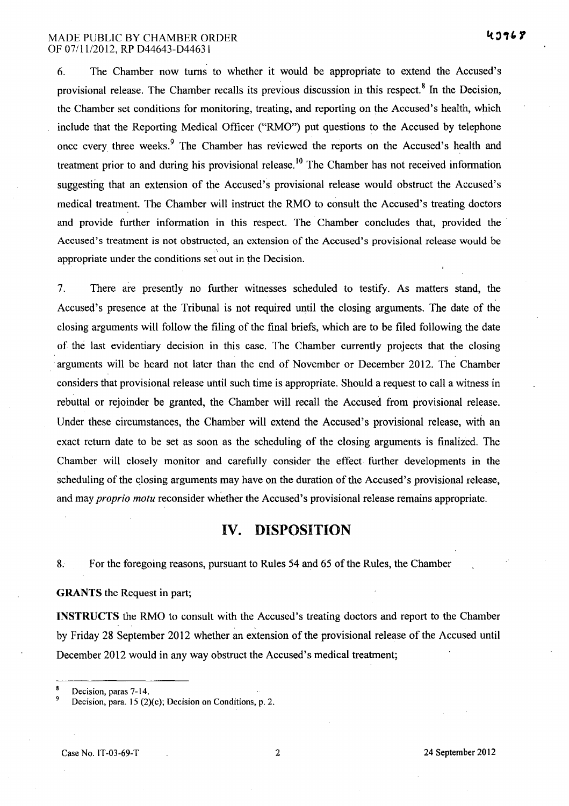### MADE PUBLIC BY CHAMBER ORDER OF 07111/2012, RP 044643-044631

6. The Chamber now turns to whether it would be appropriate to extend the Accused's provisional release. The Chamber recalls its previous discussion in this respect.<sup>8</sup> In the Decision, the Chamber set conditions for monitoring, treating, and reporting on the Accused's health, which include that the Reporting Medical Officer ("RMO") put questions to the Accused by telephone once every three weeks.<sup>9</sup> The Chamber has reviewed the reports on the Accused's health and treatment prior to and during his provisional release.<sup>10</sup> The Chamber has not received information suggesting that an extension of the Accused's provisional release would obstruct the Accused's medical treatment. The Chamber will instruct the RMO to consult the Accused's treating doctors and provide further information in this respect. The Chamber concludes that, provided the Accused's treatment is not obstructed, an extension of the Accused's provisional release would be appropriate under the conditions set out in the Decision.

7. There are presently no further witnesses scheduled to testify. As matters stand, the Accused's presence at the Tribunal is not required until the closing arguments. The date of the closing arguments will follow the filing of the final briefs, which are to be filed following the date of the last evidentiary decision in this case. The Chamber currently projects that the closing arguments will be heard not later than the end of November or December 2012. The Chamber considers that provisional release uhtil such time is appropriate. Should a request to call a witness in rebuttal or rejoinder be granted, the Chamber will recall the Accused from provisional release. Under these circumstances, the Chamber will extend the Accused's provisional release, with an exact return date to be set as soon as the scheduling of the closing arguments is finalized. The Chamber will closely monitor and carefully consider the effect further developments in the scheduling of the closing arguments may have on the duration of the Accused's provisional release, and may *proprio motu* reconsider whether the Accused's provisional release remains appropriate.

## **IV. DISPOSITION**

8. For the foregoing reasons, pursuant to Rules 54 and 65 ofthe Rules, the Chamber

### GRANTS the Request in part;

INSTRUCTS the RMO to consult with the Accused's treating doctors and report to the Chamber by Friday 28 September 2012 whether an extension of the provisional release of the Accused until December 2012 would in any way obstruct the Accused's medical treatment;

Decision, paras 7-14.

Decision, para. 15 (2)(c); Decision on Conditions, p. 2.